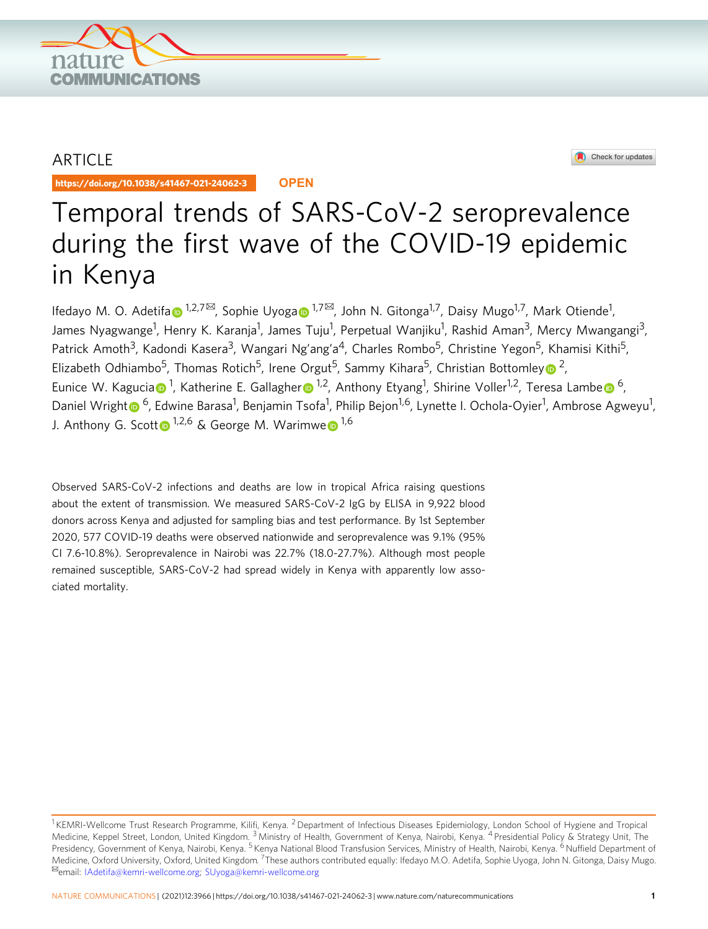

## ARTICLE

https://doi.org/10.1038/s41467-021-24062-3 **OPEN**



# Temporal trends of SARS-CoV-2 seroprevalence during the first wave of the COVID-19 epidemic in Kenya

Ifed[a](http://orcid.org/0000-0003-1746-7873)yo M. O. Adetifa⊕ <sup>[1](http://orcid.org/0000-0003-1746-7873),2,7⊠</sup>, Sophie Uyoga⊕ <sup>1,7⊠</sup>, John N. Gitonga<sup>1,7</sup>, Daisy Mugo<sup>1,7</sup>, Mark Otiende<sup>1</sup>, James Nyagwange<sup>1</sup>, Henry K. Karanja<sup>1</sup>, James Tuju<sup>1</sup>, Perpetual Wanjiku<sup>1</sup>, Rashid Aman<sup>3</sup>, Mercy Mwangangi<sup>3</sup>, Patrick Amoth<sup>3</sup>, Kadondi Kasera<sup>3</sup>, Wangari Ng'ang'a<sup>4</sup>, Charles Rombo<sup>5</sup>, Christine Yegon<sup>5</sup>, Khamisi Kithi<sup>5</sup>, Elizabeth Odhiambo<sup>5</sup>, Thomas Rotich<sup>5</sup>, Irene Orgut<sup>5</sup>, Samm[y](http://orcid.org/0000-0002-5241-8412) Kihara<sup>5</sup>, Christian Bottomley <sup>2</sup>, Eunice W. K[a](http://orcid.org/0000-0002-4481-8889)gucia n<sup>1</sup>, Kathe[r](http://orcid.org/0000-0002-5604-7647)in[e](http://orcid.org/0000-0001-7711-897X) E. Gallagher n<sup>1,2</sup>, Anthony Etyang<sup>1</sup>, Shirine Voller<sup>1,2</sup>, Teresa Lambe n<sup>[6](http://orcid.org/0000-0001-7711-897X)</sup>, Daniel Wrigh[t](http://orcid.org/0000-0002-8114-1838) <mark>O</mark> <sup>6</sup>, Edwine Barasa<sup>1</sup>, Benjamin Tsofa<sup>1</sup>, Philip Bejon<sup>1,6</sup>, Lynette I. Ochola-Oyier<sup>1</sup>, Ambrose Agweyu<sup>1</sup>, J. An[t](http://orcid.org/0000-0001-7533-5006)hony G. Scott  $1^{1,2,6}$  $1^{1,2,6}$  & G[e](http://orcid.org/0000-0002-4911-6333)orge M. Warimwe  $1^{1,6}$ 

Observed SARS-CoV-2 infections and deaths are low in tropical Africa raising questions about the extent of transmission. We measured SARS-CoV-2 IgG by ELISA in 9,922 blood donors across Kenya and adjusted for sampling bias and test performance. By 1st September 2020, 577 COVID-19 deaths were observed nationwide and seroprevalence was 9.1% (95% CI 7.6-10.8%). Seroprevalence in Nairobi was 22.7% (18.0-27.7%). Although most people remained susceptible, SARS-CoV-2 had spread widely in Kenya with apparently low associated mortality.

<sup>&</sup>lt;sup>1</sup> KEMRI-Wellcome Trust Research Programme, Kilifi, Kenya. <sup>2</sup> Department of Infectious Diseases Epidemiology, London School of Hygiene and Tropical Medicine, Keppel Street, London, United Kingdom. <sup>3</sup> Ministry of Health, Government of Kenya, Nairobi, Kenya. <sup>4</sup> Presidential Policy & Strategy Unit, The Presidency, Government of Kenya, Nairobi, Kenya. <sup>5</sup> Kenya National Blood Transfusion Services, Ministry of Health, Nairobi, Kenya. <sup>6</sup> Nuffield Department of Medicine, Oxford University, Oxford, United Kingdom. <sup>7</sup>These authors contributed equally: Ifedayo M.O. Adetifa, Sophie Uyoga, John N. Gitonga, Daisy Mugo.<br><sup>⊠</sup>email: [IAdetifa@kemri-wellcome.org](mailto:IAdetifa@kemri-wellcome.org); [SUyoga@kemri-wellcome.org](mailto:SUyoga@kemri-wellcome.org)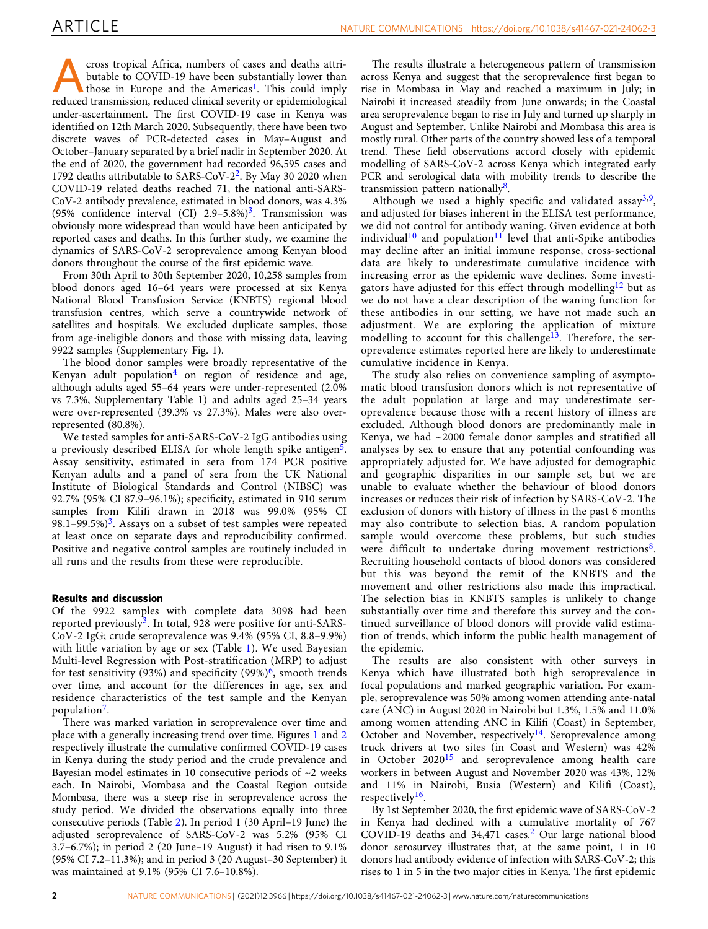**Example [1](#page-4-0)9 Concept Africa, numbers of cases and deaths attri-**<br>butable to COVID-19 have been substantially lower than<br>those in Europe and the Americas<sup>1</sup>. This could imply<br>reduced transmission reduced clinical severity or butable to COVID-19 have been substantially lower than reduced transmission, reduced clinical severity or epidemiological under-ascertainment. The first COVID-19 case in Kenya was identified on 12th March 2020. Subsequently, there have been two discrete waves of PCR-detected cases in May–August and October–January separated by a brief nadir in September 2020. At the end of 2020, the government had recorded 96,595 cases and 1792 deaths attributable to SARS-CoV- $2^2$ . By May 30 2020 when COVID-19 related deaths reached 71, the national anti-SARS-CoV-2 antibody prevalence, estimated in blood donors, was 4.3% (95% confidence interval (CI)  $2.9-5.8\%$ )<sup>3</sup>. Transmission was obviously more widespread than would have been anticipated by reported cases and deaths. In this further study, we examine the dynamics of SARS-CoV-2 seroprevalence among Kenyan blood donors throughout the course of the first epidemic wave.

From 30th April to 30th September 2020, 10,258 samples from blood donors aged 16–64 years were processed at six Kenya National Blood Transfusion Service (KNBTS) regional blood transfusion centres, which serve a countrywide network of satellites and hospitals. We excluded duplicate samples, those from age-ineligible donors and those with missing data, leaving 9922 samples (Supplementary Fig. 1).

The blood donor samples were broadly representative of the Kenyan adult population<sup>[4](#page-4-0)</sup> on region of residence and age, although adults aged 55–64 years were under-represented (2.0% vs 7.3%, Supplementary Table 1) and adults aged 25–34 years were over-represented (39.3% vs 27.3%). Males were also overrepresented (80.8%).

We tested samples for anti-SARS-CoV-2 IgG antibodies using a previously described ELISA for whole length spike antigen<sup>5</sup>. Assay sensitivity, estimated in sera from 174 PCR positive Kenyan adults and a panel of sera from the UK National Institute of Biological Standards and Control (NIBSC) was 92.7% (95% CI 87.9–96.1%); specificity, estimated in 910 serum samples from Kilifi drawn in 2018 was 99.0% (95% CI 98.1–99.5%)<sup>3</sup>. Assays on a subset of test samples were repeated at least once on separate days and reproducibility confirmed. Positive and negative control samples are routinely included in all runs and the results from these were reproducible.

### Results and discussion

Of the 9922 samples with complete data 3098 had been reported previously<sup>3</sup>. In total, 928 were positive for anti-SARS-CoV-2 IgG; crude seroprevalence was 9.4% (95% CI, 8.8–9.9%) with little variation by age or sex (Table [1](#page-2-0)). We used Bayesian Multi-level Regression with Post-stratification (MRP) to adjust for test sensitivity (93%) and specificity (99%)<sup>6</sup>, smooth trends over time, and account for the differences in age, sex and residence characteristics of the test sample and the Kenyan population<sup>7</sup>.

There was marked variation in seroprevalence over time and place with a generally increasing trend over time. Figures [1](#page-2-0) and [2](#page-3-0) respectively illustrate the cumulative confirmed COVID-19 cases in Kenya during the study period and the crude prevalence and Bayesian model estimates in 10 consecutive periods of  $\sim$ 2 weeks each. In Nairobi, Mombasa and the Coastal Region outside Mombasa, there was a steep rise in seroprevalence across the study period. We divided the observations equally into three consecutive periods (Table [2](#page-3-0)). In period 1 (30 April–19 June) the adjusted seroprevalence of SARS-CoV-2 was 5.2% (95% CI 3.7–6.7%); in period 2 (20 June–19 August) it had risen to 9.1% (95% CI 7.2–11.3%); and in period 3 (20 August–30 September) it was maintained at 9.1% (95% CI 7.6–10.8%).

The results illustrate a heterogeneous pattern of transmission across Kenya and suggest that the seroprevalence first began to rise in Mombasa in May and reached a maximum in July; in Nairobi it increased steadily from June onwards; in the Coastal area seroprevalence began to rise in July and turned up sharply in August and September. Unlike Nairobi and Mombasa this area is mostly rural. Other parts of the country showed less of a temporal trend. These field observations accord closely with epidemic modelling of SARS-CoV-2 across Kenya which integrated early PCR and serological data with mobility trends to describe the transmission pattern nationally $8$ .

Although we used a highly specific and validated assay<sup>[3](#page-4-0),9</sup>, and adjusted for biases inherent in the ELISA test performance, we did not control for antibody waning. Given evidence at both individual<sup>[10](#page-4-0)</sup> and population<sup>[11](#page-4-0)</sup> level that anti-Spike antibodies may decline after an initial immune response, cross-sectional data are likely to underestimate cumulative incidence with increasing error as the epidemic wave declines. Some investi-gators have adjusted for this effect through modelling<sup>[12](#page-4-0)</sup> but as we do not have a clear description of the waning function for these antibodies in our setting, we have not made such an adjustment. We are exploring the application of mixture modelling to account for this challenge<sup>[13](#page-4-0)</sup>. Therefore, the seroprevalence estimates reported here are likely to underestimate cumulative incidence in Kenya.

The study also relies on convenience sampling of asymptomatic blood transfusion donors which is not representative of the adult population at large and may underestimate seroprevalence because those with a recent history of illness are excluded. Although blood donors are predominantly male in Kenya, we had ~2000 female donor samples and stratified all analyses by sex to ensure that any potential confounding was appropriately adjusted for. We have adjusted for demographic and geographic disparities in our sample set, but we are unable to evaluate whether the behaviour of blood donors increases or reduces their risk of infection by SARS-CoV-2. The exclusion of donors with history of illness in the past 6 months may also contribute to selection bias. A random population sample would overcome these problems, but such studies were difficult to undertake during movement restrictions<sup>8</sup>. Recruiting household contacts of blood donors was considered but this was beyond the remit of the KNBTS and the movement and other restrictions also made this impractical. The selection bias in KNBTS samples is unlikely to change substantially over time and therefore this survey and the continued surveillance of blood donors will provide valid estimation of trends, which inform the public health management of the epidemic.

The results are also consistent with other surveys in Kenya which have illustrated both high seroprevalence in focal populations and marked geographic variation. For example, seroprevalence was 50% among women attending ante-natal care (ANC) in August 2020 in Nairobi but 1.3%, 1.5% and 11.0% among women attending ANC in Kilifi (Coast) in September, October and November, respectively<sup>14</sup>. Seroprevalence among truck drivers at two sites (in Coast and Western) was 42% in October 2020[15](#page-4-0) and seroprevalence among health care workers in between August and November 2020 was 43%, 12% and 11% in Nairobi, Busia (Western) and Kilifi (Coast), respectively $16$ .

By 1st September 2020, the first epidemic wave of SARS-CoV-2 in Kenya had declined with a cumulative mortality of 767 COVID-19 deaths and 34,471 cases.[2](#page-4-0) Our large national blood donor serosurvey illustrates that, at the same point, 1 in 10 donors had antibody evidence of infection with SARS-CoV-2; this rises to 1 in 5 in the two major cities in Kenya. The first epidemic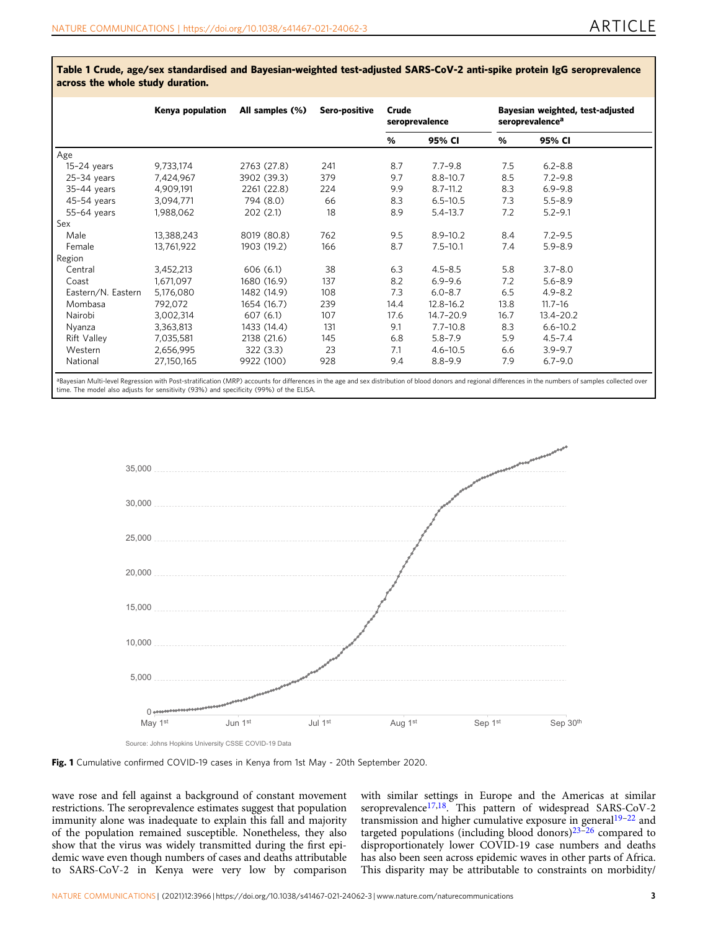|                    | Kenya population | All samples (%) | Sero-positive | Crude<br>seroprevalence |               | Bayesian weighted, test-adjusted<br>seroprevalence <sup>a</sup> |              |
|--------------------|------------------|-----------------|---------------|-------------------------|---------------|-----------------------------------------------------------------|--------------|
|                    |                  |                 |               | %                       | 95% CI        | %                                                               | 95% CI       |
| Age                |                  |                 |               |                         |               |                                                                 |              |
| $15-24$ years      | 9,733,174        | 2763 (27.8)     | 241           | 8.7                     | $7.7 - 9.8$   | 7.5                                                             | $6.2 - 8.8$  |
| $25-34$ years      | 7,424,967        | 3902 (39.3)     | 379           | 9.7                     | $8.8 - 10.7$  | 8.5                                                             | $7.2 - 9.8$  |
| $35-44$ years      | 4,909,191        | 2261 (22.8)     | 224           | 9.9                     | $8.7 - 11.2$  | 8.3                                                             | $6.9 - 9.8$  |
| 45-54 years        | 3,094,771        | 794 (8.0)       | 66            | 8.3                     | $6.5 - 10.5$  | 7.3                                                             | $5.5 - 8.9$  |
| 55-64 years        | 1,988,062        | 202(2.1)        | 18            | 8.9                     | $5.4 - 13.7$  | 7.2                                                             | $5.2 - 9.1$  |
| Sex                |                  |                 |               |                         |               |                                                                 |              |
| Male               | 13,388,243       | 8019 (80.8)     | 762           | 9.5                     | $8.9 - 10.2$  | 8.4                                                             | $7.2 - 9.5$  |
| Female             | 13,761,922       | 1903 (19.2)     | 166           | 8.7                     | $7.5 - 10.1$  | 7.4                                                             | $5.9 - 8.9$  |
| Region             |                  |                 |               |                         |               |                                                                 |              |
| Central            | 3,452,213        | 606(6.1)        | 38            | 6.3                     | $4.5 - 8.5$   | 5.8                                                             | $3.7 - 8.0$  |
| Coast              | 1,671,097        | 1680 (16.9)     | 137           | 8.2                     | $6.9 - 9.6$   | 7.2                                                             | $5.6 - 8.9$  |
| Eastern/N. Eastern | 5,176,080        | 1482 (14.9)     | 108           | 7.3                     | $6.0 - 8.7$   | 6.5                                                             | $4.9 - 8.2$  |
| Mombasa            | 792,072          | 1654 (16.7)     | 239           | 14.4                    | $12.8 - 16.2$ | 13.8                                                            | $11.7 - 16$  |
| Nairobi            | 3,002,314        | 607 (6.1)       | 107           | 17.6                    | 14.7-20.9     | 16.7                                                            | 13.4-20.2    |
| Nyanza             | 3,363,813        | 1433 (14.4)     | 131           | 9.1                     | $7.7 - 10.8$  | 8.3                                                             | $6.6 - 10.2$ |
| <b>Rift Valley</b> | 7,035,581        | 2138 (21.6)     | 145           | 6.8                     | $5.8 - 7.9$   | 5.9                                                             | $4.5 - 7.4$  |
| Western            | 2,656,995        | 322(3.3)        | 23            | 7.1                     | $4.6 - 10.5$  | 6.6                                                             | $3.9 - 9.7$  |
| National           | 27,150,165       | 9922 (100)      | 928           | 9.4                     | $8.8 - 9.9$   | 7.9                                                             | $6.7 - 9.0$  |

<span id="page-2-0"></span>Table 1 Crude, age/sex standardised and Bayesian-weighted test-adjusted SARS-CoV-2 anti-spike protein IgG seroprevalence across the whole study duration.

aBayesian Multi-level Regression with Post-stratification (MRP) accounts for differences in the age and sex distribution of blood donors and regional differences in the numbers of samples collected over time. The model also adjusts for sensitivity (93%) and specificity (99%) of the ELISA.







wave rose and fell against a background of constant movement restrictions. The seroprevalence estimates suggest that population immunity alone was inadequate to explain this fall and majority of the population remained susceptible. Nonetheless, they also show that the virus was widely transmitted during the first epidemic wave even though numbers of cases and deaths attributable to SARS-CoV-2 in Kenya were very low by comparison

with similar settings in Europe and the Americas at similar seroprevalence<sup>[17,18](#page-4-0)</sup>. This pattern of widespread SARS-CoV-2 transmission and higher cumulative exposure in general<sup>[19](#page-4-0)-[22](#page-4-0)</sup> and targeted populations (including blood donors) $23-26$  $23-26$  $23-26$  compared to disproportionately lower COVID-19 case numbers and deaths has also been seen across epidemic waves in other parts of Africa. This disparity may be attributable to constraints on morbidity/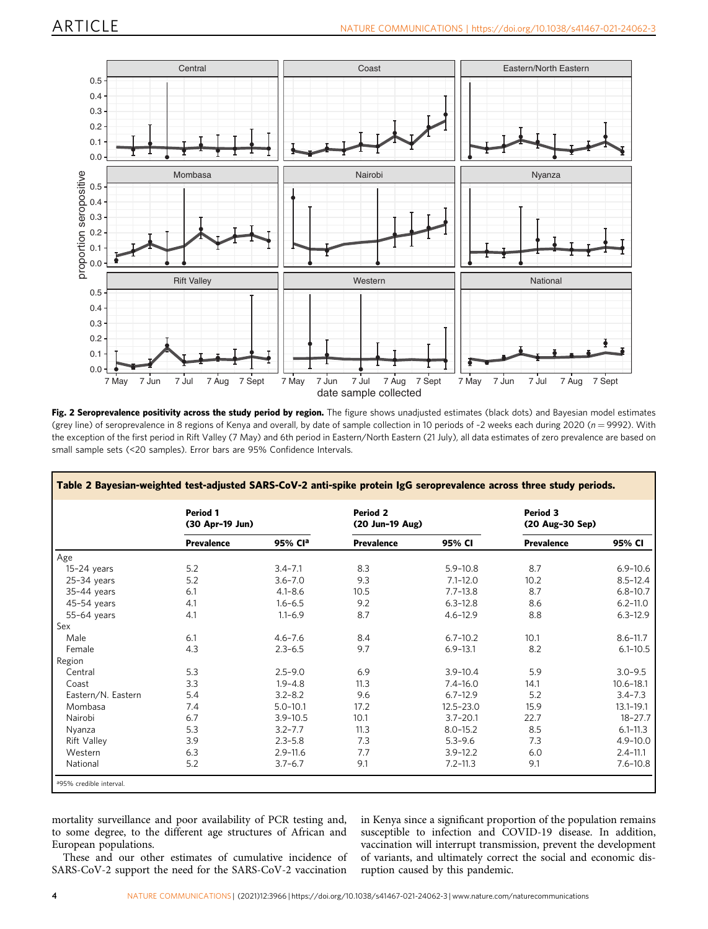<span id="page-3-0"></span>

Fig. 2 Seroprevalence positivity across the study period by region. The figure shows unadjusted estimates (black dots) and Bayesian model estimates (grey line) of seroprevalence in 8 regions of Kenya and overall, by date of sample collection in 10 periods of ~2 weeks each during 2020 (n = 9992). With the exception of the first period in Rift Valley (7 May) and 6th period in Eastern/North Eastern (21 July), all data estimates of zero prevalence are based on small sample sets (<20 samples). Error bars are 95% Confidence Intervals.

|                    | Period 1<br>(30 Apr-19 Jun) |              | <b>Period 2</b><br>(20 Jun-19 Aug) |               | Period 3<br>(20 Aug-30 Sep) |               |
|--------------------|-----------------------------|--------------|------------------------------------|---------------|-----------------------------|---------------|
|                    | <b>Prevalence</b>           | 95% Cla      | <b>Prevalence</b>                  | 95% CI        | <b>Prevalence</b>           | 95% CI        |
| Age                |                             |              |                                    |               |                             |               |
| $15-24$ years      | 5.2                         | $3.4 - 7.1$  | 8.3                                | $5.9 - 10.8$  | 8.7                         | $6.9 - 10.6$  |
| $25-34$ years      | 5.2                         | $3.6 - 7.0$  | 9.3                                | $7.1 - 12.0$  | 10.2                        | $8.5 - 12.4$  |
| 35-44 years        | 6.1                         | $4.1 - 8.6$  | 10.5                               | $7.7 - 13.8$  | 8.7                         | $6.8 - 10.7$  |
| 45-54 years        | 4.1                         | $1.6 - 6.5$  | 9.2                                | $6.3 - 12.8$  | 8.6                         | $6.2 - 11.0$  |
| 55-64 years        | 4.1                         | $1.1 - 6.9$  | 8.7                                | $4.6 - 12.9$  | 8.8                         | $6.3 - 12.9$  |
| Sex                |                             |              |                                    |               |                             |               |
| Male               | 6.1                         | $4.6 - 7.6$  | 8.4                                | $6.7 - 10.2$  | 10.1                        | $8.6 - 11.7$  |
| Female             | 4.3                         | $2.3 - 6.5$  | 9.7                                | $6.9 - 13.1$  | 8.2                         | $6.1 - 10.5$  |
| Region             |                             |              |                                    |               |                             |               |
| Central            | 5.3                         | $2.5 - 9.0$  | 6.9                                | $3.9 - 10.4$  | 5.9                         | $3.0 - 9.5$   |
| Coast              | 3.3                         | $1.9 - 4.8$  | 11.3                               | $7.4 - 16.0$  | 14.1                        | $10.6 - 18.1$ |
| Eastern/N. Eastern | 5.4                         | $3.2 - 8.2$  | 9.6                                | $6.7 - 12.9$  | 5.2                         | $3.4 - 7.3$   |
| Mombasa            | 7.4                         | $5.0 - 10.1$ | 17.2                               | $12.5 - 23.0$ | 15.9                        | $13.1 - 19.1$ |
| Nairobi            | 6.7                         | $3.9 - 10.5$ | 10.1                               | $3.7 - 20.1$  | 22.7                        | $18 - 27.7$   |
| Nyanza             | 5.3                         | $3.2 - 7.7$  | 11.3                               | $8.0 - 15.2$  | 8.5                         | $6.1 - 11.3$  |
| <b>Rift Valley</b> | 3.9                         | $2.3 - 5.8$  | 7.3                                | $5.3 - 9.6$   | 7.3                         | $4.9 - 10.0$  |
| Western            | 6.3                         | $2.9 - 11.6$ | 7.7                                | $3.9 - 12.2$  | 6.0                         | $2.4 - 11.1$  |
| National           | 5.2                         | $3.7 - 6.7$  | 9.1                                | $7.2 - 11.3$  | 9.1                         | $7.6 - 10.8$  |

mortality surveillance and poor availability of PCR testing and, to some degree, to the different age structures of African and European populations.

These and our other estimates of cumulative incidence of SARS-CoV-2 support the need for the SARS-CoV-2 vaccination in Kenya since a significant proportion of the population remains susceptible to infection and COVID-19 disease. In addition, vaccination will interrupt transmission, prevent the development of variants, and ultimately correct the social and economic disruption caused by this pandemic.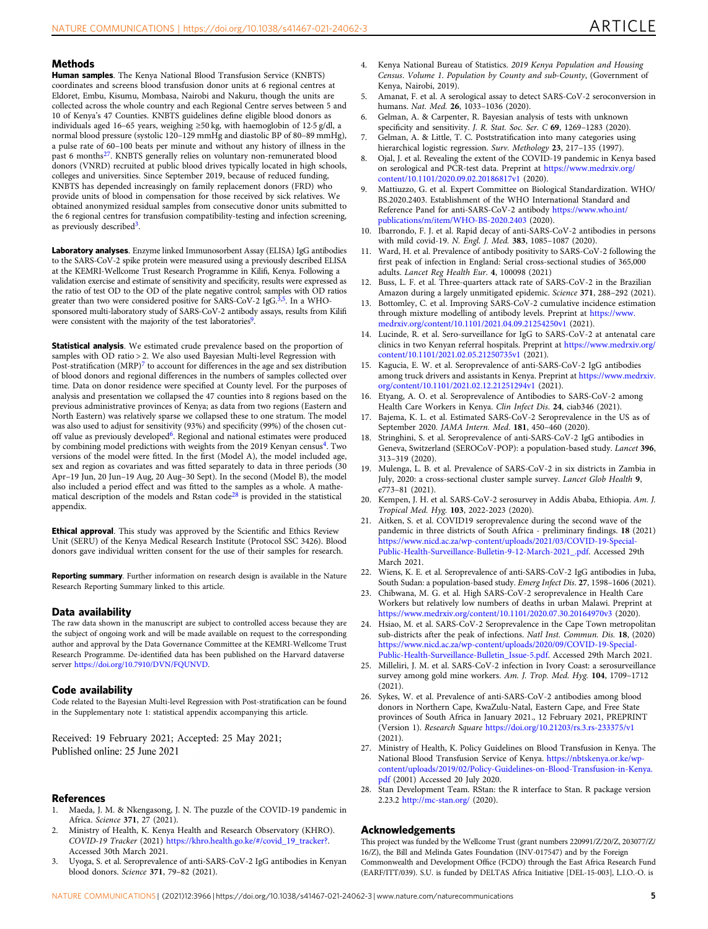#### <span id="page-4-0"></span>**Methods**

Human samples. The Kenya National Blood Transfusion Service (KNBTS) coordinates and screens blood transfusion donor units at 6 regional centres at Eldoret, Embu, Kisumu, Mombasa, Nairobi and Nakuru, though the units are collected across the whole country and each Regional Centre serves between 5 and 10 of Kenya's 47 Counties. KNBTS guidelines define eligible blood donors as individuals aged 16–65 years, weighing ≥50 kg, with haemoglobin of 12·5 g/dl, a normal blood pressure (systolic 120–129 mmHg and diastolic BP of 80–89 mmHg), a pulse rate of 60–100 beats per minute and without any history of illness in the past 6 months27. KNBTS generally relies on voluntary non-remunerated blood donors (VNRD) recruited at public blood drives typically located in high schools, colleges and universities. Since September 2019, because of reduced funding, KNBTS has depended increasingly on family replacement donors (FRD) who provide units of blood in compensation for those received by sick relatives. We obtained anonymized residual samples from consecutive donor units submitted to the 6 regional centres for transfusion compatibility-testing and infection screening, as previously described<sup>3</sup>.

Laboratory analyses. Enzyme linked Immunosorbent Assay (ELISA) IgG antibodies to the SARS-CoV-2 spike protein were measured using a previously described ELISA at the KEMRI-Wellcome Trust Research Programme in Kilifi, Kenya. Following a validation exercise and estimate of sensitivity and specificity, results were expressed as the ratio of test OD to the OD of the plate negative control; samples with OD ratios greater than two were considered positive for SARS-CoV-2 IgG.<sup>5</sup>,<sup>5</sup>. In a WHOsponsored multi-laboratory study of SARS-CoV-2 antibody assays, results from Kilifi were consistent with the majority of the test laboratories<sup>9</sup>.

Statistical analysis. We estimated crude prevalence based on the proportion of samples with OD ratio > 2. We also used Bayesian Multi-level Regression with Post-stratification  $(MRP)^7$  to account for differences in the age and sex distribution of blood donors and regional differences in the numbers of samples collected over time. Data on donor residence were specified at County level. For the purposes of analysis and presentation we collapsed the 47 counties into 8 regions based on the previous administrative provinces of Kenya; as data from two regions (Eastern and North Eastern) was relatively sparse we collapsed these to one stratum. The model was also used to adjust for sensitivity (93%) and specificity (99%) of the chosen cutoff value as previously developed<sup>6</sup>. Regional and national estimates were produced by combining model predictions with weights from the 2019 Kenyan census<sup>4</sup>. Two versions of the model were fitted. In the first (Model A), the model included age, sex and region as covariates and was fitted separately to data in three periods (30 Apr–19 Jun, 20 Jun–19 Aug, 20 Aug–30 Sept). In the second (Model B), the model also included a period effect and was fitted to the samples as a whole. A mathematical description of the models and Rstan code<sup>28</sup> is provided in the statistical appendix.

Ethical approval. This study was approved by the Scientific and Ethics Review Unit (SERU) of the Kenya Medical Research Institute (Protocol SSC 3426). Blood donors gave individual written consent for the use of their samples for research.

Reporting summary. Further information on research design is available in the Nature Research Reporting Summary linked to this article.

#### Data availability

The raw data shown in the manuscript are subject to controlled access because they are the subject of ongoing work and will be made available on request to the corresponding author and approval by the Data Governance Committee at the KEMRI-Wellcome Trust Research Programme. De-identified data has been published on the Harvard dataverse server [https://doi.org/10.7910/DVN/FQUNVD.](https://doi.org/10.7910/DVN/FQUNVD)

#### Code availability

Code related to the Bayesian Multi-level Regression with Post-stratification can be found in the Supplementary note 1: statistical appendix accompanying this article.

Received: 19 February 2021; Accepted: 25 May 2021; Published online: 25 June 2021

#### **References**

- 1. Maeda, J. M. & Nkengasong, J. N. The puzzle of the COVID-19 pandemic in Africa. Science 371, 27 (2021).
- 2. Ministry of Health, K. Kenya Health and Research Observatory (KHRO). COVID-19 Tracker (2021) [https://khro.health.go.ke/#/covid\\_19\\_tracker?.](https://khro.health.go.ke/#/covid_19_tracker?) Accessed 30th March 2021.
- 3. Uyoga, S. et al. Seroprevalence of anti-SARS-CoV-2 IgG antibodies in Kenyan blood donors. Science 371, 79–82 (2021).
- 4. Kenya National Bureau of Statistics. 2019 Kenya Population and Housing Census. Volume 1. Population by County and sub-County, (Government of Kenya, Nairobi, 2019).
- 5. Amanat, F. et al. A serological assay to detect SARS-CoV-2 seroconversion in humans. Nat. Med. 26, 1033–1036 (2020).
- 6. Gelman, A. & Carpenter, R. Bayesian analysis of tests with unknown specificity and sensitivity. J. R. Stat. Soc. Ser. C 69, 1269-1283 (2020).
- 7. Gelman, A. & Little, T. C. Poststratification into many categories using hierarchical logistic regression. Surv. Methology 23, 217-135 (1997).
- 8. Ojal, J. et al. Revealing the extent of the COVID-19 pandemic in Kenya based on serological and PCR-test data. Preprint at [https://www.medrxiv.org/](https://www.medrxiv.org/content/10.1101/2020.09.02.20186817v1) [content/10.1101/2020.09.02.20186817v1](https://www.medrxiv.org/content/10.1101/2020.09.02.20186817v1) (2020).
- 9. Mattiuzzo, G. et al. Expert Committee on Biological Standardization. WHO/ BS.2020.2403. Establishment of the WHO International Standard and Reference Panel for anti-SARS-CoV-2 antibody [https://www.who.int/](https://www.who.int/publications/m/item/WHO-BS-2020.2403) [publications/m/item/WHO-BS-2020.2403](https://www.who.int/publications/m/item/WHO-BS-2020.2403) (2020).
- 10. Ibarrondo, F. J. et al. Rapid decay of anti-SARS-CoV-2 antibodies in persons with mild covid-19. N. Engl. J. Med. 383, 1085–1087 (2020).
- 11. Ward, H. et al. Prevalence of antibody positivity to SARS-CoV-2 following the first peak of infection in England: Serial cross-sectional studies of 365,000 adults. Lancet Reg Health Eur. 4, 100098 (2021)
- 12. Buss, L. F. et al. Three-quarters attack rate of SARS-CoV-2 in the Brazilian Amazon during a largely unmitigated epidemic. Science 371, 288–292 (2021).
- 13. Bottomley, C. et al. Improving SARS-CoV-2 cumulative incidence estimation through mixture modelling of antibody levels. Preprint at [https://www.](https://www.medrxiv.org/content/10.1101/2021.04.09.21254250v1) [medrxiv.org/content/10.1101/2021.04.09.21254250v1](https://www.medrxiv.org/content/10.1101/2021.04.09.21254250v1) (2021).
- 14. Lucinde, R. et al. Sero-surveillance for IgG to SARS-CoV-2 at antenatal care clinics in two Kenyan referral hospitals. Preprint at [https://www.medrxiv.org/](https://www.medrxiv.org/content/10.1101/2021.02.05.21250735v1) [content/10.1101/2021.02.05.21250735v1](https://www.medrxiv.org/content/10.1101/2021.02.05.21250735v1) (2021).
- 15. Kagucia, E. W. et al. Seroprevalence of anti-SARS-CoV-2 IgG antibodies among truck drivers and assistants in Kenya. Preprint at [https://www.medrxiv.](https://www.medrxiv.org/content/10.1101/2021.02.12.21251294v1) [org/content/10.1101/2021.02.12.21251294v1](https://www.medrxiv.org/content/10.1101/2021.02.12.21251294v1) (2021).
- 16. Etyang, A. O. et al. Seroprevalence of Antibodies to SARS-CoV-2 among Health Care Workers in Kenya. Clin Infect Dis. 24, ciab346 (2021).
- Bajema, K. L. et al. Estimated SARS-CoV-2 Seroprevalence in the US as of September 2020. JAMA Intern. Med. 181, 450–460 (2020).
- 18. Stringhini, S. et al. Seroprevalence of anti-SARS-CoV-2 IgG antibodies in Geneva, Switzerland (SEROCoV-POP): a population-based study. Lancet 396, 313–319 (2020).
- 19. Mulenga, L. B. et al. Prevalence of SARS-CoV-2 in six districts in Zambia in July, 2020: a cross-sectional cluster sample survey. Lancet Glob Health 9, e773–81 (2021).
- 20. Kempen, J. H. et al. SARS-CoV-2 serosurvey in Addis Ababa, Ethiopia. Am. J. Tropical Med. Hyg. 103, 2022-2023 (2020).
- 21. Aitken, S. et al. COVID19 seroprevalence during the second wave of the pandemic in three districts of South Africa - preliminary findings. 18 (2021) [https://www.nicd.ac.za/wp-content/uploads/2021/03/COVID-19-Special-](https://www.nicd.ac.za/wp-content/uploads/2021/03/COVID-19-Special-Public-Health-Surveillance-Bulletin-9-12-March-2021_.pdf)[Public-Health-Surveillance-Bulletin-9-12-March-2021\\_.pdf](https://www.nicd.ac.za/wp-content/uploads/2021/03/COVID-19-Special-Public-Health-Surveillance-Bulletin-9-12-March-2021_.pdf). Accessed 29th March 2021.
- 22. Wiens, K. E. et al. Seroprevalence of anti-SARS-CoV-2 IgG antibodies in Juba, South Sudan: a population-based study. Emerg Infect Dis. 27, 1598–1606 (2021).
- 23. Chibwana, M. G. et al. High SARS-CoV-2 seroprevalence in Health Care Workers but relatively low numbers of deaths in urban Malawi. Preprint at <https://www.medrxiv.org/content/10.1101/2020.07.30.20164970v3> (2020).
- 24. Hsiao, M. et al. SARS-CoV-2 Seroprevalence in the Cape Town metropolitan sub-districts after the peak of infections. Natl Inst. Commun. Dis. 18, (2020) [https://www.nicd.ac.za/wp-content/uploads/2020/09/COVID-19-Special-](https://www.nicd.ac.za/wp-content/uploads/2020/09/COVID-19-Special-Public-Health-Surveillance-Bulletin_Issue-5.pdf)[Public-Health-Surveillance-Bulletin\\_Issue-5.pdf.](https://www.nicd.ac.za/wp-content/uploads/2020/09/COVID-19-Special-Public-Health-Surveillance-Bulletin_Issue-5.pdf) Accessed 29th March 2021.
- 25. Milleliri, J. M. et al. SARS-CoV-2 infection in Ivory Coast: a serosurveillance survey among gold mine workers. Am. J. Trop. Med. Hyg. 104, 1709–1712 (2021).
- 26. Sykes, W. et al. Prevalence of anti-SARS-CoV-2 antibodies among blood donors in Northern Cape, KwaZulu-Natal, Eastern Cape, and Free State provinces of South Africa in January 2021., 12 February 2021, PREPRINT (Version 1). Research Square <https://doi.org/10.21203/rs.3.rs-233375/v1> (2021).
- 27. Ministry of Health, K. Policy Guidelines on Blood Transfusion in Kenya. The National Blood Transfusion Service of Kenya. [https://nbtskenya.or.ke/wp](https://nbtskenya.or.ke/wp-content/uploads/2019/02/Policy-Guidelines-on-Blood-Transfusion-in-Kenya.pdf)[content/uploads/2019/02/Policy-Guidelines-on-Blood-Transfusion-in-Kenya.](https://nbtskenya.or.ke/wp-content/uploads/2019/02/Policy-Guidelines-on-Blood-Transfusion-in-Kenya.pdf) [pdf](https://nbtskenya.or.ke/wp-content/uploads/2019/02/Policy-Guidelines-on-Blood-Transfusion-in-Kenya.pdf) (2001) Accessed 20 July 2020.
- 28. Stan Development Team. RStan: the R interface to Stan. R package version 2.23.2 <http://mc-stan.org/> (2020).

#### Acknowledgements

This project was funded by the Wellcome Trust (grant numbers 220991/Z/20/Z, 203077/Z/ 16/Z), the Bill and Melinda Gates Foundation (INV-017547) and by the Foreign Commonwealth and Development Office (FCDO) through the East Africa Research Fund (EARF/ITT/039). S.U. is funded by DELTAS Africa Initiative [DEL-15-003], L.I.O.-O. is